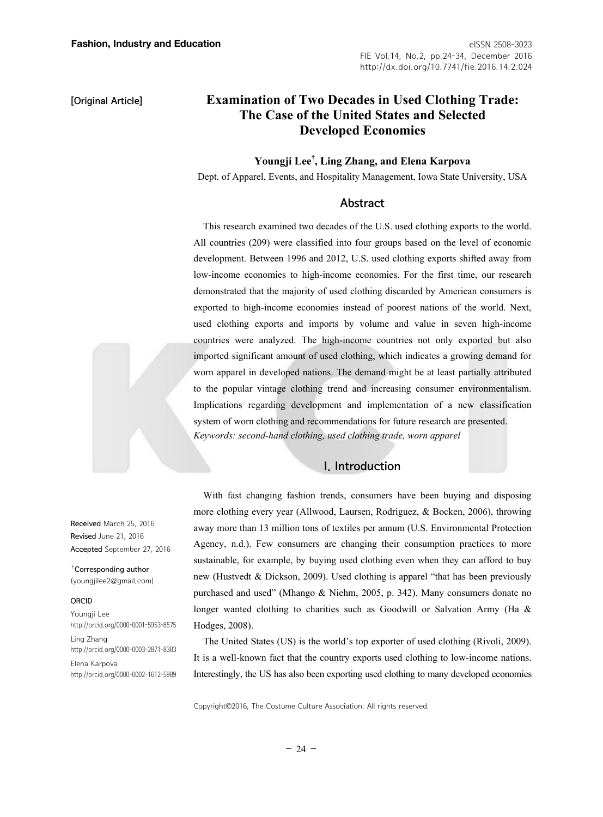**[Original Article]** 

### eISSN 2508-3023 FIE Vol.14, No.2, pp.24-34, December 2016 http://dx.doi.org/10.7741/fie.2016.14.2.024

# **Examination of Two Decades in Used Clothing Trade: The Case of the United States and Selected Developed Economies**

# **Youngji Lee† , Ling Zhang, and Elena Karpova**

Dept. of Apparel, Events, and Hospitality Management, Iowa State University, USA

## Abstract

This research examined two decades of the U.S. used clothing exports to the world. All countries (209) were classified into four groups based on the level of economic development. Between 1996 and 2012, U.S. used clothing exports shifted away from low-income economies to high-income economies. For the first time, our research demonstrated that the majority of used clothing discarded by American consumers is exported to high-income economies instead of poorest nations of the world. Next, used clothing exports and imports by volume and value in seven high-income countries were analyzed. The high-income countries not only exported but also imported significant amount of used clothing, which indicates a growing demand for worn apparel in developed nations. The demand might be at least partially attributed to the popular vintage clothing trend and increasing consumer environmentalism. Implications regarding development and implementation of a new classification system of worn clothing and recommendations for future research are presented. *Keywords: second-hand clothing, used clothing trade, worn apparel* 

# I. Introduction

With fast changing fashion trends, consumers have been buying and disposing more clothing every year (Allwood, Laursen, Rodriguez, & Bocken, 2006), throwing away more than 13 million tons of textiles per annum (U.S. Environmental Protection Agency, n.d.). Few consumers are changing their consumption practices to more sustainable, for example, by buying used clothing even when they can afford to buy new (Hustvedt & Dickson, 2009). Used clothing is apparel "that has been previously purchased and used" (Mhango & Niehm, 2005, p. 342). Many consumers donate no longer wanted clothing to charities such as Goodwill or Salvation Army (Ha & Hodges, 2008).

The United States (US) is the world's top exporter of used clothing (Rivoli, 2009). It is a well-known fact that the country exports used clothing to low-income nations. Interestingly, the US has also been exporting used clothing to many developed economies

Copyright©2016, The Costume Culture Association. All rights reserved.

Received March 25, 2016 Revised June 21, 2016 Accepted September 27, 2016

†Corresponding author (youngjilee2@gmail.com)

#### ORCID

Youngji Lee http://orcid.org/0000-0001-5953-8575

Ling Zhang http://orcid.org/0000-0003-2871-8383

Elena Karpova http://orcid.org/0000-0002-1612-5989

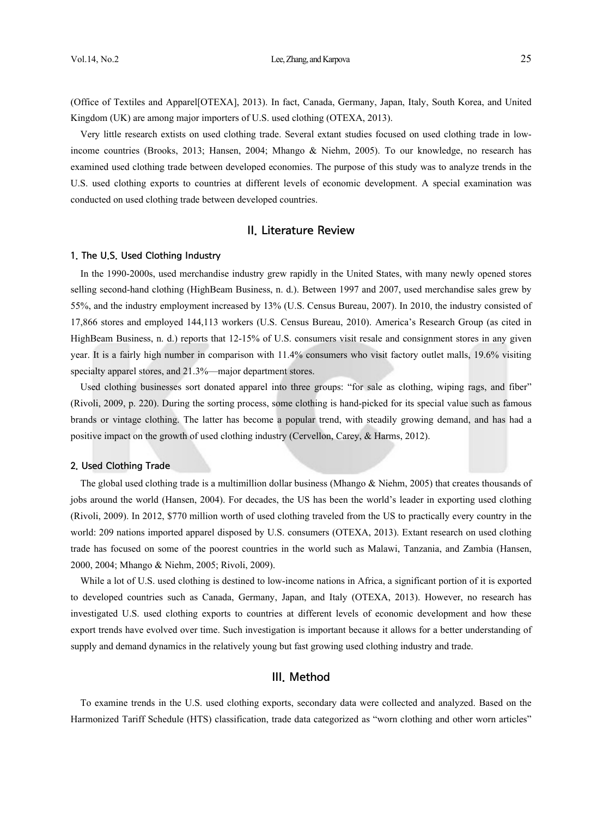#### Vol.14, No.2 **Lee, Zhang, and Karpova** 25

(Office of Textiles and Apparel[OTEXA], 2013). In fact, Canada, Germany, Japan, Italy, South Korea, and United Kingdom (UK) are among major importers of U.S. used clothing (OTEXA, 2013).

Very little research extists on used clothing trade. Several extant studies focused on used clothing trade in lowincome countries (Brooks, 2013; Hansen, 2004; Mhango & Niehm, 2005). To our knowledge, no research has examined used clothing trade between developed economies. The purpose of this study was to analyze trends in the U.S. used clothing exports to countries at different levels of economic development. A special examination was conducted on used clothing trade between developed countries.

## II. Literature Review

#### 1. The U.S. Used Clothing Industry

In the 1990-2000s, used merchandise industry grew rapidly in the United States, with many newly opened stores selling second-hand clothing (HighBeam Business, n. d.). Between 1997 and 2007, used merchandise sales grew by 55%, and the industry employment increased by 13% (U.S. Census Bureau, 2007). In 2010, the industry consisted of 17,866 stores and employed 144,113 workers (U.S. Census Bureau, 2010). America's Research Group (as cited in HighBeam Business, n. d.) reports that 12-15% of U.S. consumers visit resale and consignment stores in any given year. It is a fairly high number in comparison with 11.4% consumers who visit factory outlet malls, 19.6% visiting specialty apparel stores, and 21.3%—major department stores.

Used clothing businesses sort donated apparel into three groups: "for sale as clothing, wiping rags, and fiber" (Rivoli, 2009, p. 220). During the sorting process, some clothing is hand-picked for its special value such as famous brands or vintage clothing. The latter has become a popular trend, with steadily growing demand, and has had a positive impact on the growth of used clothing industry (Cervellon, Carey, & Harms, 2012).

#### 2. Used Clothing Trade

The global used clothing trade is a multimillion dollar business (Mhango & Niehm, 2005) that creates thousands of jobs around the world (Hansen, 2004). For decades, the US has been the world's leader in exporting used clothing (Rivoli, 2009). In 2012, \$770 million worth of used clothing traveled from the US to practically every country in the world: 209 nations imported apparel disposed by U.S. consumers (OTEXA, 2013). Extant research on used clothing trade has focused on some of the poorest countries in the world such as Malawi, Tanzania, and Zambia (Hansen, 2000, 2004; Mhango & Niehm, 2005; Rivoli, 2009).

While a lot of U.S. used clothing is destined to low-income nations in Africa, a significant portion of it is exported to developed countries such as Canada, Germany, Japan, and Italy (OTEXA, 2013). However, no research has investigated U.S. used clothing exports to countries at different levels of economic development and how these export trends have evolved over time. Such investigation is important because it allows for a better understanding of supply and demand dynamics in the relatively young but fast growing used clothing industry and trade.

# III. Method

To examine trends in the U.S. used clothing exports, secondary data were collected and analyzed. Based on the Harmonized Tariff Schedule (HTS) classification, trade data categorized as "worn clothing and other worn articles"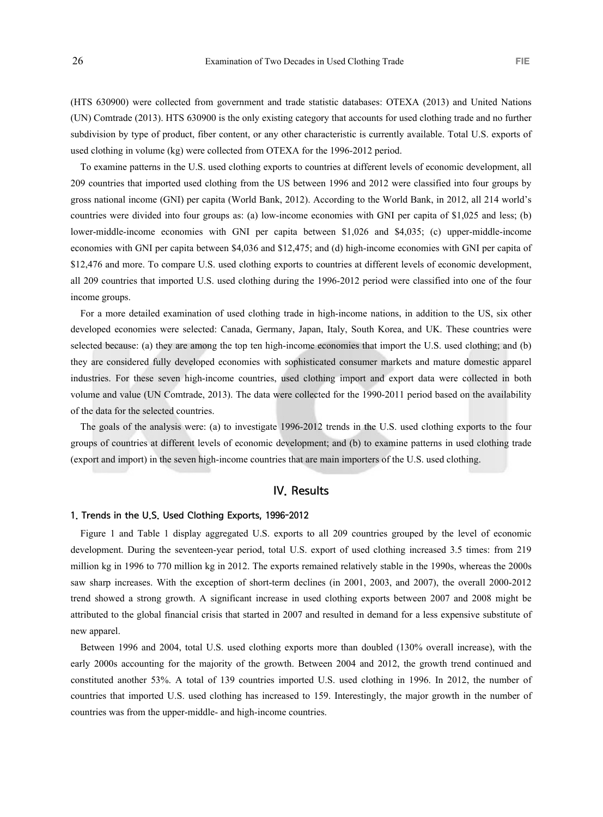(HTS 630900) were collected from government and trade statistic databases: OTEXA (2013) and United Nations (UN) Comtrade (2013). HTS 630900 is the only existing category that accounts for used clothing trade and no further subdivision by type of product, fiber content, or any other characteristic is currently available. Total U.S. exports of used clothing in volume (kg) were collected from OTEXA for the 1996-2012 period.

To examine patterns in the U.S. used clothing exports to countries at different levels of economic development, all 209 countries that imported used clothing from the US between 1996 and 2012 were classified into four groups by gross national income (GNI) per capita (World Bank, 2012). According to the World Bank, in 2012, all 214 world's countries were divided into four groups as: (a) low-income economies with GNI per capita of \$1,025 and less; (b) lower-middle-income economies with GNI per capita between \$1,026 and \$4,035; (c) upper-middle-income economies with GNI per capita between \$4,036 and \$12,475; and (d) high-income economies with GNI per capita of \$12,476 and more. To compare U.S. used clothing exports to countries at different levels of economic development, all 209 countries that imported U.S. used clothing during the 1996-2012 period were classified into one of the four income groups.

For a more detailed examination of used clothing trade in high-income nations, in addition to the US, six other developed economies were selected: Canada, Germany, Japan, Italy, South Korea, and UK. These countries were selected because: (a) they are among the top ten high-income economies that import the U.S. used clothing; and (b) they are considered fully developed economies with sophisticated consumer markets and mature domestic apparel industries. For these seven high-income countries, used clothing import and export data were collected in both volume and value (UN Comtrade, 2013). The data were collected for the 1990-2011 period based on the availability of the data for the selected countries.

The goals of the analysis were: (a) to investigate 1996-2012 trends in the U.S. used clothing exports to the four groups of countries at different levels of economic development; and (b) to examine patterns in used clothing trade (export and import) in the seven high-income countries that are main importers of the U.S. used clothing.

# IV. Results

### 1. Trends in the U.S. Used Clothing Exports, 1996-2012

Figure 1 and Table 1 display aggregated U.S. exports to all 209 countries grouped by the level of economic development. During the seventeen-year period, total U.S. export of used clothing increased 3.5 times: from 219 million kg in 1996 to 770 million kg in 2012. The exports remained relatively stable in the 1990s, whereas the 2000s saw sharp increases. With the exception of short-term declines (in 2001, 2003, and 2007), the overall 2000-2012 trend showed a strong growth. A significant increase in used clothing exports between 2007 and 2008 might be attributed to the global financial crisis that started in 2007 and resulted in demand for a less expensive substitute of new apparel.

Between 1996 and 2004, total U.S. used clothing exports more than doubled (130% overall increase), with the early 2000s accounting for the majority of the growth. Between 2004 and 2012, the growth trend continued and constituted another 53%. A total of 139 countries imported U.S. used clothing in 1996. In 2012, the number of countries that imported U.S. used clothing has increased to 159. Interestingly, the major growth in the number of countries was from the upper-middle- and high-income countries.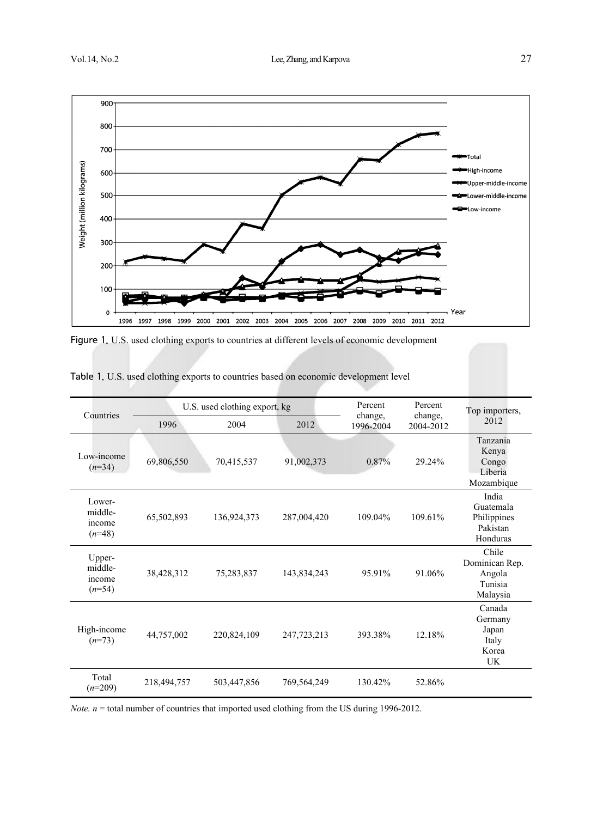

Figure 1. U.S. used clothing exports to countries at different levels of economic development

| Countries                               | U.S. used clothing export, kg |             |             | Percent              | Percent              | Top importers,                                            |
|-----------------------------------------|-------------------------------|-------------|-------------|----------------------|----------------------|-----------------------------------------------------------|
|                                         | 1996                          | 2004        | 2012        | change.<br>1996-2004 | change,<br>2004-2012 | 2012                                                      |
| Low-income<br>$(n=34)$                  | 69,806,550                    | 70,415,537  | 91,002,373  | 0.87%                | 29.24%               | Tanzania<br>Kenya<br>Congo<br>Liberia<br>Mozambique       |
| Lower-<br>middle-<br>income<br>$(n=48)$ | 65,502,893                    | 136,924,373 | 287,004,420 | 109.04%              | 109.61%              | India<br>Guatemala<br>Philippines<br>Pakistan<br>Honduras |
| Upper-<br>middle-<br>income<br>$(n=54)$ | 38,428,312                    | 75,283,837  | 143,834,243 | 95.91%               | 91.06%               | Chile<br>Dominican Rep.<br>Angola<br>Tunisia<br>Malaysia  |
| High-income<br>$(n=73)$                 | 44,757,002                    | 220,824,109 | 247,723,213 | 393.38%              | 12.18%               | Canada<br>Germany<br>Japan<br>Italy<br>Korea<br><b>UK</b> |
| Total<br>$(n=209)$                      | 218,494,757                   | 503,447,856 | 769,564,249 | 130.42%              | 52.86%               |                                                           |

Table 1. U.S. used clothing exports to countries based on economic development level

*Note.*  $n =$  total number of countries that imported used clothing from the US during 1996-2012.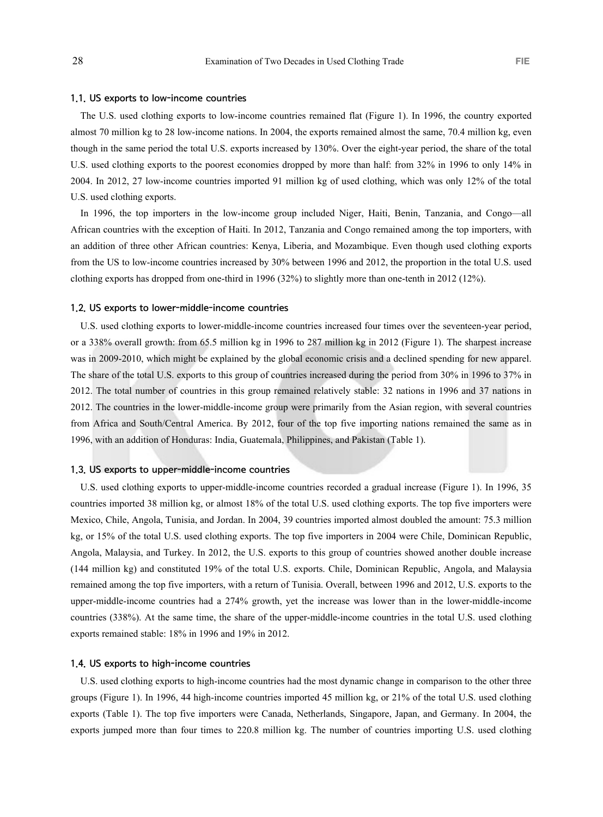#### 1.1. US exports to low-income countries

The U.S. used clothing exports to low-income countries remained flat (Figure 1). In 1996, the country exported almost 70 million kg to 28 low-income nations. In 2004, the exports remained almost the same, 70.4 million kg, even though in the same period the total U.S. exports increased by 130%. Over the eight-year period, the share of the total U.S. used clothing exports to the poorest economies dropped by more than half: from 32% in 1996 to only 14% in 2004. In 2012, 27 low-income countries imported 91 million kg of used clothing, which was only 12% of the total U.S. used clothing exports.

In 1996, the top importers in the low-income group included Niger, Haiti, Benin, Tanzania, and Congo—all African countries with the exception of Haiti. In 2012, Tanzania and Congo remained among the top importers, with an addition of three other African countries: Kenya, Liberia, and Mozambique. Even though used clothing exports from the US to low-income countries increased by 30% between 1996 and 2012, the proportion in the total U.S. used clothing exports has dropped from one-third in 1996 (32%) to slightly more than one-tenth in 2012 (12%).

#### 1.2. US exports to lower-middle-income countries

U.S. used clothing exports to lower-middle-income countries increased four times over the seventeen-year period, or a 338% overall growth: from 65.5 million kg in 1996 to 287 million kg in 2012 (Figure 1). The sharpest increase was in 2009-2010, which might be explained by the global economic crisis and a declined spending for new apparel. The share of the total U.S. exports to this group of countries increased during the period from 30% in 1996 to 37% in 2012. The total number of countries in this group remained relatively stable: 32 nations in 1996 and 37 nations in 2012. The countries in the lower-middle-income group were primarily from the Asian region, with several countries from Africa and South/Central America. By 2012, four of the top five importing nations remained the same as in 1996, with an addition of Honduras: India, Guatemala, Philippines, and Pakistan (Table 1).

### 1.3. US exports to upper-middle-income countries

U.S. used clothing exports to upper-middle-income countries recorded a gradual increase (Figure 1). In 1996, 35 countries imported 38 million kg, or almost 18% of the total U.S. used clothing exports. The top five importers were Mexico, Chile, Angola, Tunisia, and Jordan. In 2004, 39 countries imported almost doubled the amount: 75.3 million kg, or 15% of the total U.S. used clothing exports. The top five importers in 2004 were Chile, Dominican Republic, Angola, Malaysia, and Turkey. In 2012, the U.S. exports to this group of countries showed another double increase (144 million kg) and constituted 19% of the total U.S. exports. Chile, Dominican Republic, Angola, and Malaysia remained among the top five importers, with a return of Tunisia. Overall, between 1996 and 2012, U.S. exports to the upper-middle-income countries had a 274% growth, yet the increase was lower than in the lower-middle-income countries (338%). At the same time, the share of the upper-middle-income countries in the total U.S. used clothing exports remained stable: 18% in 1996 and 19% in 2012.

#### 1.4. US exports to high-income countries

U.S. used clothing exports to high-income countries had the most dynamic change in comparison to the other three groups (Figure 1). In 1996, 44 high-income countries imported 45 million kg, or 21% of the total U.S. used clothing exports (Table 1). The top five importers were Canada, Netherlands, Singapore, Japan, and Germany. In 2004, the exports jumped more than four times to 220.8 million kg. The number of countries importing U.S. used clothing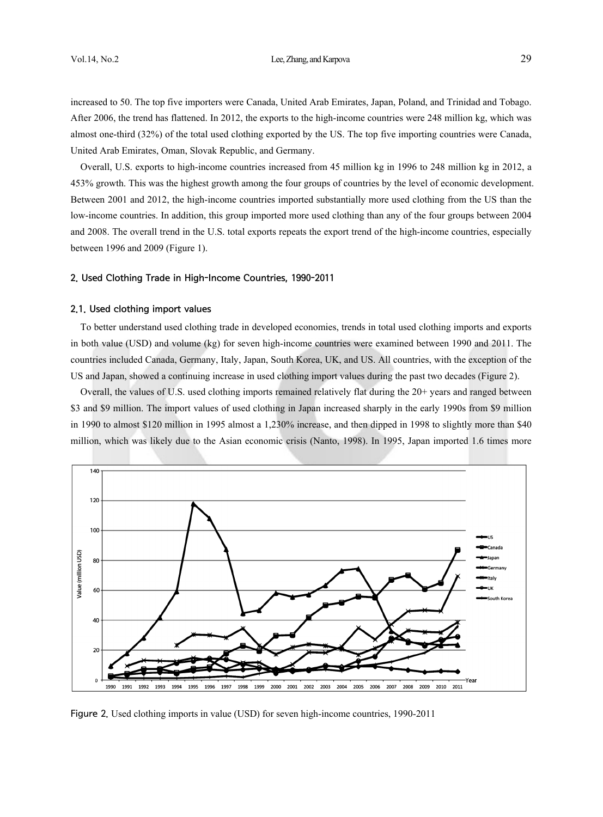increased to 50. The top five importers were Canada, United Arab Emirates, Japan, Poland, and Trinidad and Tobago. After 2006, the trend has flattened. In 2012, the exports to the high-income countries were 248 million kg, which was almost one-third (32%) of the total used clothing exported by the US. The top five importing countries were Canada, United Arab Emirates, Oman, Slovak Republic, and Germany.

Overall, U.S. exports to high-income countries increased from 45 million kg in 1996 to 248 million kg in 2012, a 453% growth. This was the highest growth among the four groups of countries by the level of economic development. Between 2001 and 2012, the high-income countries imported substantially more used clothing from the US than the low-income countries. In addition, this group imported more used clothing than any of the four groups between 2004 and 2008. The overall trend in the U.S. total exports repeats the export trend of the high-income countries, especially between 1996 and 2009 (Figure 1).

#### 2. Used Clothing Trade in High-Income Countries, 1990-2011

#### 2.1. Used clothing import values

To better understand used clothing trade in developed economies, trends in total used clothing imports and exports in both value (USD) and volume (kg) for seven high-income countries were examined between 1990 and 2011. The countries included Canada, Germany, Italy, Japan, South Korea, UK, and US. All countries, with the exception of the US and Japan, showed a continuing increase in used clothing import values during the past two decades (Figure 2).

Overall, the values of U.S. used clothing imports remained relatively flat during the 20+ years and ranged between \$3 and \$9 million. The import values of used clothing in Japan increased sharply in the early 1990s from \$9 million in 1990 to almost \$120 million in 1995 almost a 1,230% increase, and then dipped in 1998 to slightly more than \$40 million, which was likely due to the Asian economic crisis (Nanto, 1998). In 1995, Japan imported 1.6 times more



Figure 2. Used clothing imports in value (USD) for seven high-income countries, 1990-2011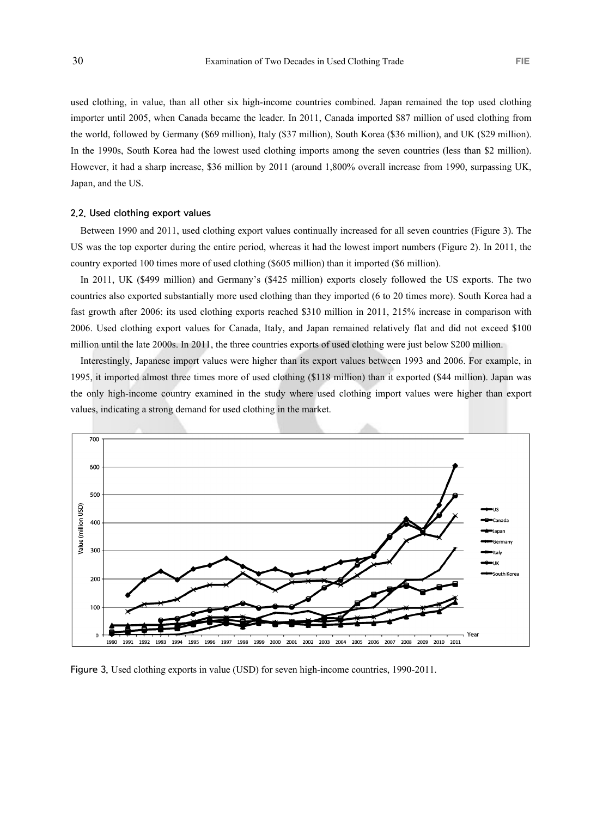used clothing, in value, than all other six high-income countries combined. Japan remained the top used clothing importer until 2005, when Canada became the leader. In 2011, Canada imported \$87 million of used clothing from the world, followed by Germany (\$69 million), Italy (\$37 million), South Korea (\$36 million), and UK (\$29 million). In the 1990s, South Korea had the lowest used clothing imports among the seven countries (less than \$2 million). However, it had a sharp increase, \$36 million by 2011 (around 1,800% overall increase from 1990, surpassing UK, Japan, and the US.

### 2.2. Used clothing export values

Between 1990 and 2011, used clothing export values continually increased for all seven countries (Figure 3). The US was the top exporter during the entire period, whereas it had the lowest import numbers (Figure 2). In 2011, the country exported 100 times more of used clothing (\$605 million) than it imported (\$6 million).

In 2011, UK (\$499 million) and Germany's (\$425 million) exports closely followed the US exports. The two countries also exported substantially more used clothing than they imported (6 to 20 times more). South Korea had a fast growth after 2006: its used clothing exports reached \$310 million in 2011, 215% increase in comparison with 2006. Used clothing export values for Canada, Italy, and Japan remained relatively flat and did not exceed \$100 million until the late 2000s. In 2011, the three countries exports of used clothing were just below \$200 million.

Interestingly, Japanese import values were higher than its export values between 1993 and 2006. For example, in 1995, it imported almost three times more of used clothing (\$118 million) than it exported (\$44 million). Japan was the only high-income country examined in the study where used clothing import values were higher than export values, indicating a strong demand for used clothing in the market.



Figure 3. Used clothing exports in value (USD) for seven high-income countries, 1990-2011.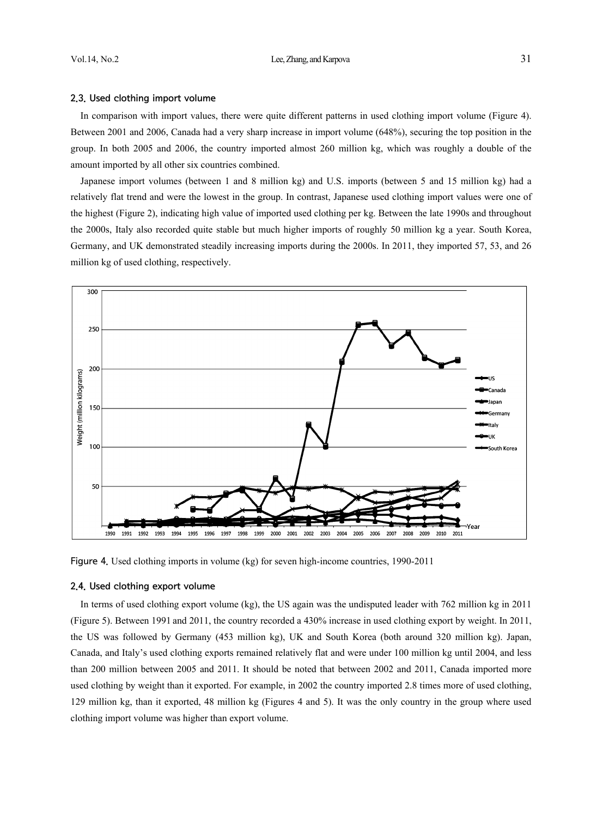## 2.3. Used clothing import volume

In comparison with import values, there were quite different patterns in used clothing import volume (Figure 4). Between 2001 and 2006, Canada had a very sharp increase in import volume (648%), securing the top position in the group. In both 2005 and 2006, the country imported almost 260 million kg, which was roughly a double of the amount imported by all other six countries combined.

Japanese import volumes (between 1 and 8 million kg) and U.S. imports (between 5 and 15 million kg) had a relatively flat trend and were the lowest in the group. In contrast, Japanese used clothing import values were one of the highest (Figure 2), indicating high value of imported used clothing per kg. Between the late 1990s and throughout the 2000s, Italy also recorded quite stable but much higher imports of roughly 50 million kg a year. South Korea, Germany, and UK demonstrated steadily increasing imports during the 2000s. In 2011, they imported 57, 53, and 26 million kg of used clothing, respectively.



Figure 4. Used clothing imports in volume (kg) for seven high-income countries, 1990-2011

#### 2.4. Used clothing export volume

In terms of used clothing export volume (kg), the US again was the undisputed leader with 762 million kg in 2011 (Figure 5). Between 1991 and 2011, the country recorded a 430% increase in used clothing export by weight. In 2011, the US was followed by Germany (453 million kg), UK and South Korea (both around 320 million kg). Japan, Canada, and Italy's used clothing exports remained relatively flat and were under 100 million kg until 2004, and less than 200 million between 2005 and 2011. It should be noted that between 2002 and 2011, Canada imported more used clothing by weight than it exported. For example, in 2002 the country imported 2.8 times more of used clothing, 129 million kg, than it exported, 48 million kg (Figures 4 and 5). It was the only country in the group where used clothing import volume was higher than export volume.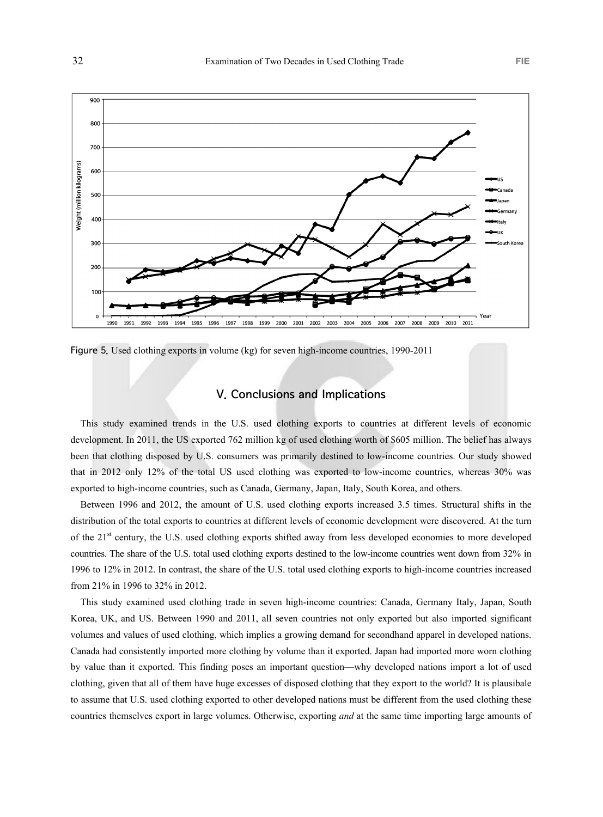

Figure 5. Used clothing exports in volume (kg) for seven high-income countries, 1990-2011

# V. Conclusions and Implications

This study examined trends in the U.S. used clothing exports to countries at different levels of economic development. In 2011, the US exported 762 million kg of used clothing worth of \$605 million. The belief has always been that clothing disposed by U.S. consumers was primarily destined to low-income countries. Our study showed that in 2012 only 12% of the total US used clothing was exported to low-income countries, whereas 30% was exported to high-income countries, such as Canada, Germany, Japan, Italy, South Korea, and others.

Between 1996 and 2012, the amount of U.S. used clothing exports increased 3.5 times. Structural shifts in the distribution of the total exports to countries at different levels of economic development were discovered. At the turn of the 21st century, the U.S. used clothing exports shifted away from less developed economies to more developed countries. The share of the U.S. total used clothing exports destined to the low-income countries went down from 32% in 1996 to 12% in 2012. In contrast, the share of the U.S. total used clothing exports to high-income countries increased from 21% in 1996 to 32% in 2012.

This study examined used clothing trade in seven high-income countries: Canada, Germany Italy, Japan, South Korea, UK, and US. Between 1990 and 2011, all seven countries not only exported but also imported significant volumes and values of used clothing, which implies a growing demand for secondhand apparel in developed nations. Canada had consistently imported more clothing by volume than it exported. Japan had imported more worn clothing by value than it exported. This finding poses an important question—why developed nations import a lot of used clothing, given that all of them have huge excesses of disposed clothing that they export to the world? It is plausibale to assume that U.S. used clothing exported to other developed nations must be different from the used clothing these countries themselves export in large volumes. Otherwise, exporting *and* at the same time importing large amounts of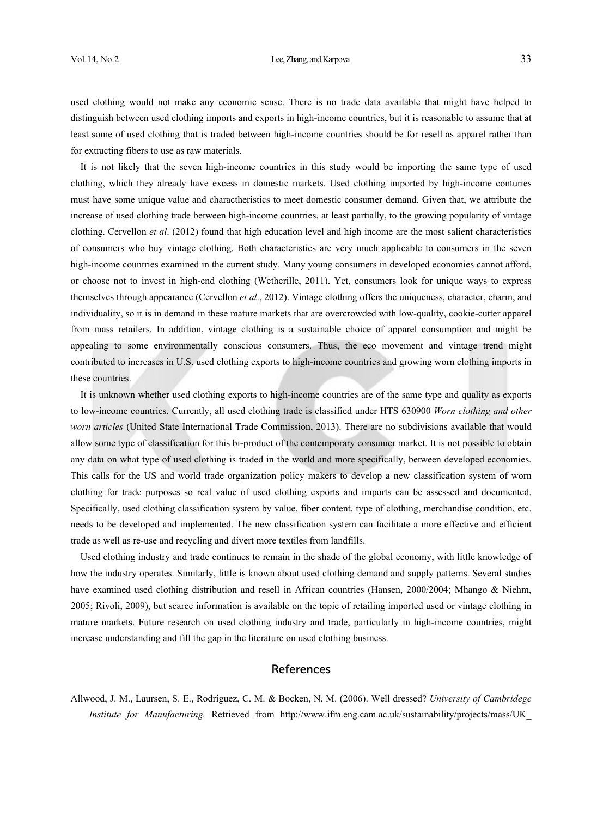### Vol.14, No.2 **Lee, Zhang, and Karpova** 33

used clothing would not make any economic sense. There is no trade data available that might have helped to distinguish between used clothing imports and exports in high-income countries, but it is reasonable to assume that at least some of used clothing that is traded between high-income countries should be for resell as apparel rather than for extracting fibers to use as raw materials.

It is not likely that the seven high-income countries in this study would be importing the same type of used clothing, which they already have excess in domestic markets. Used clothing imported by high-income conturies must have some unique value and charactheristics to meet domestic consumer demand. Given that, we attribute the increase of used clothing trade between high-income countries, at least partially, to the growing popularity of vintage clothing. Cervellon *et al*. (2012) found that high education level and high income are the most salient characteristics of consumers who buy vintage clothing. Both characteristics are very much applicable to consumers in the seven high-income countries examined in the current study. Many young consumers in developed economies cannot afford, or choose not to invest in high-end clothing (Wetherille, 2011). Yet, consumers look for unique ways to express themselves through appearance (Cervellon *et al*., 2012). Vintage clothing offers the uniqueness, character, charm, and individuality, so it is in demand in these mature markets that are overcrowded with low-quality, cookie-cutter apparel from mass retailers. In addition, vintage clothing is a sustainable choice of apparel consumption and might be appealing to some environmentally conscious consumers. Thus, the eco movement and vintage trend might contributed to increases in U.S. used clothing exports to high-income countries and growing worn clothing imports in these countries.

It is unknown whether used clothing exports to high-income countries are of the same type and quality as exports to low-income countries. Currently, all used clothing trade is classified under HTS 630900 *Worn clothing and other worn articles* (United State International Trade Commission, 2013). There are no subdivisions available that would allow some type of classification for this bi-product of the contemporary consumer market. It is not possible to obtain any data on what type of used clothing is traded in the world and more specifically, between developed economies. This calls for the US and world trade organization policy makers to develop a new classification system of worn clothing for trade purposes so real value of used clothing exports and imports can be assessed and documented. Specifically, used clothing classification system by value, fiber content, type of clothing, merchandise condition, etc. needs to be developed and implemented. The new classification system can facilitate a more effective and efficient trade as well as re-use and recycling and divert more textiles from landfills.

Used clothing industry and trade continues to remain in the shade of the global economy, with little knowledge of how the industry operates. Similarly, little is known about used clothing demand and supply patterns. Several studies have examined used clothing distribution and resell in African countries (Hansen, 2000/2004; Mhango & Niehm, 2005; Rivoli, 2009), but scarce information is available on the topic of retailing imported used or vintage clothing in mature markets. Future research on used clothing industry and trade, particularly in high-income countries, might increase understanding and fill the gap in the literature on used clothing business.

### **References**

Allwood, J. M., Laursen, S. E., Rodriguez, C. M. & Bocken, N. M. (2006). Well dressed? *University of Cambridege Institute for Manufacturing.* Retrieved from http://www.ifm.eng.cam.ac.uk/sustainability/projects/mass/UK\_